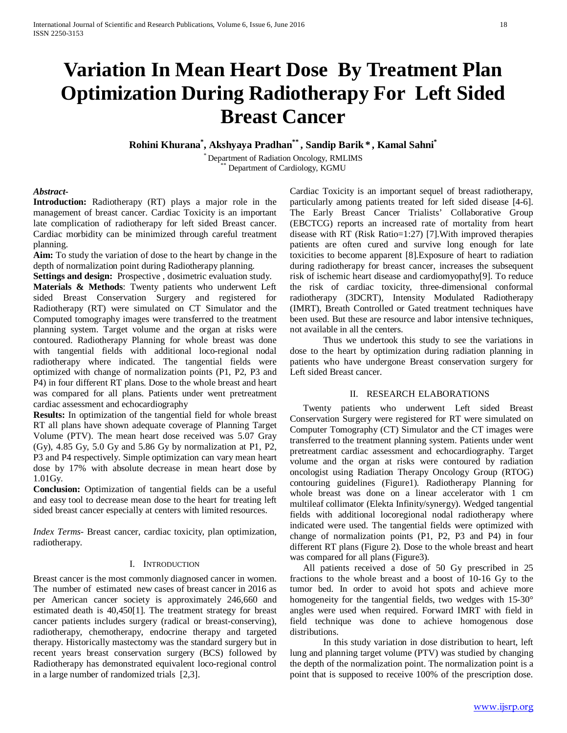# **Variation In Mean Heart Dose By Treatment Plan Optimization During Radiotherapy For Left Sided Breast Cancer**

**Rohini Khurana\* , Akshyaya Pradhan\*\* , Sandip Barik\* , Kamal Sahni\***

\* Department of Radiation Oncology, RMLIMS \*\* Department of Cardiology, KGMU

## *Abstract***-**

**Introduction:** Radiotherapy (RT) plays a major role in the management of breast cancer. Cardiac Toxicity is an important late complication of radiotherapy for left sided Breast cancer. Cardiac morbidity can be minimized through careful treatment planning.

**Aim:** To study the variation of dose to the heart by change in the depth of normalization point during Radiotherapy planning.

**Settings and design:** Prospective , dosimetric evaluation study.

**Materials & Methods**: Twenty patients who underwent Left sided Breast Conservation Surgery and registered for Radiotherapy (RT) were simulated on CT Simulator and the Computed tomography images were transferred to the treatment planning system. Target volume and the organ at risks were contoured. Radiotherapy Planning for whole breast was done with tangential fields with additional loco-regional nodal radiotherapy where indicated. The tangential fields were optimized with change of normalization points (P1, P2, P3 and P4) in four different RT plans. Dose to the whole breast and heart was compared for all plans. Patients under went pretreatment cardiac assessment and echocardiography

**Results:** In optimization of the tangential field for whole breast RT all plans have shown adequate coverage of Planning Target Volume (PTV). The mean heart dose received was 5.07 Gray (Gy), 4.85 Gy, 5.0 Gy and 5.86 Gy by normalization at P1, P2, P3 and P4 respectively. Simple optimization can vary mean heart dose by 17% with absolute decrease in mean heart dose by 1.01Gy.

**Conclusion:** Optimization of tangential fields can be a useful and easy tool to decrease mean dose to the heart for treating left sided breast cancer especially at centers with limited resources.

*Index Terms*- Breast cancer, cardiac toxicity, plan optimization, radiotherapy.

#### I. INTRODUCTION

Breast cancer is the most commonly diagnosed cancer in women. The number of estimated new cases of breast cancer in 2016 as per American cancer society is approximately 246,660 and estimated death is 40,450[1]. The treatment strategy for breast cancer patients includes surgery (radical or breast-conserving), radiotherapy, chemotherapy, endocrine therapy and targeted therapy. Historically mastectomy was the standard surgery but in recent years breast conservation surgery (BCS) followed by Radiotherapy has demonstrated equivalent loco-regional control in a large number of randomized trials [2,3].

Cardiac Toxicity is an important sequel of breast radiotherapy, particularly among patients treated for left sided disease [4-6]. The Early Breast Cancer Trialists' Collaborative Group (EBCTCG) reports an increased rate of mortality from heart disease with RT (Risk Ratio=1:27) [7].With improved therapies patients are often cured and survive long enough for late toxicities to become apparent [8].Exposure of heart to radiation during radiotherapy for breast cancer, increases the subsequent risk of ischemic heart disease and cardiomyopathy[9]. To reduce the risk of cardiac toxicity, three-dimensional conformal radiotherapy (3DCRT), Intensity Modulated Radiotherapy (IMRT), Breath Controlled or Gated treatment techniques have been used. But these are resource and labor intensive techniques, not available in all the centers.

Thus we undertook this study to see the variations in dose to the heart by optimization during radiation planning in patients who have undergone Breast conservation surgery for Left sided Breast cancer.

#### II. RESEARCH ELABORATIONS

Twenty patients who underwent Left sided Breast Conservation Surgery were registered for RT were simulated on Computer Tomography (CT) Simulator and the CT images were transferred to the treatment planning system. Patients under went pretreatment cardiac assessment and echocardiography. Target volume and the organ at risks were contoured by radiation oncologist using Radiation Therapy Oncology Group (RTOG) contouring guidelines (Figure1). Radiotherapy Planning for whole breast was done on a linear accelerator with 1 cm multileaf collimator (Elekta Infinity/synergy). Wedged tangential fields with additional locoregional nodal radiotherapy where indicated were used. The tangential fields were optimized with change of normalization points (P1, P2, P3 and P4) in four different RT plans (Figure 2). Dose to the whole breast and heart was compared for all plans (Figure3).

All patients received a dose of 50 Gy prescribed in 25 fractions to the whole breast and a boost of 10-16 Gy to the tumor bed. In order to avoid hot spots and achieve more homogeneity for the tangential fields, two wedges with 15-30° angles were used when required. Forward IMRT with field in field technique was done to achieve homogenous dose distributions.

In this study variation in dose distribution to heart, left lung and planning target volume (PTV) was studied by changing the depth of the normalization point. The normalization point is a point that is supposed to receive 100% of the prescription dose.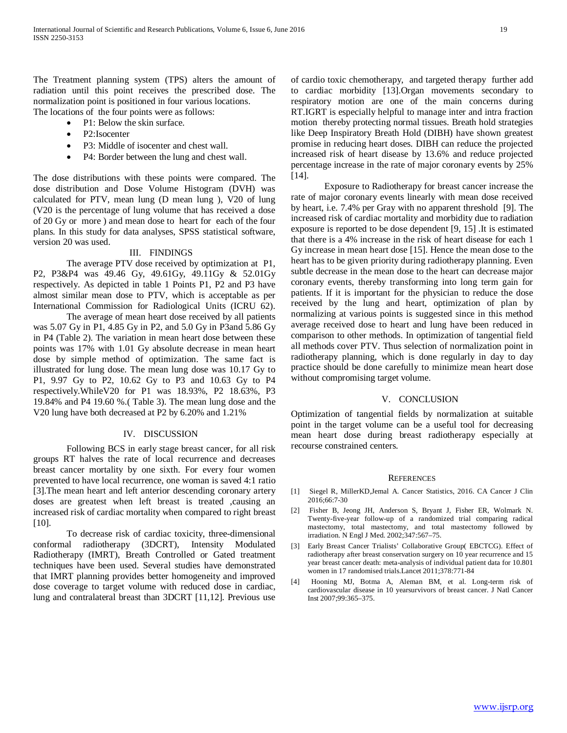The Treatment planning system (TPS) alters the amount of radiation until this point receives the prescribed dose. The normalization point is positioned in four various locations. The locations of the four points were as follows:

P1: Below the skin surface.

- P2:Isocenter
- P3: Middle of isocenter and chest wall.
- P4: Border between the lung and chest wall.

The dose distributions with these points were compared. The dose distribution and Dose Volume Histogram (DVH) was calculated for PTV, mean lung (D mean lung ), V20 of lung (V20 is the percentage of lung volume that has received a dose of 20 Gy or more ) and mean dose to heart for each of the four plans. In this study for data analyses, SPSS statistical software, version 20 was used.

### III. FINDINGS

The average PTV dose received by optimization at P1, P2, P3&P4 was 49.46 Gy, 49.61Gy, 49.11Gy & 52.01Gy respectively. As depicted in table 1 Points P1, P2 and P3 have almost similar mean dose to PTV, which is acceptable as per International Commission for Radiological Units (ICRU 62).

The average of mean heart dose received by all patients was 5.07 Gy in P1, 4.85 Gy in P2, and 5.0 Gy in P3and 5.86 Gy in P4 (Table 2). The variation in mean heart dose between these points was 17% with 1.01 Gy absolute decrease in mean heart dose by simple method of optimization. The same fact is illustrated for lung dose. The mean lung dose was 10.17 Gy to P1, 9.97 Gy to P2, 10.62 Gy to P3 and 10.63 Gy to P4 respectively.WhileV20 for P1 was 18.93%, P2 18.63%, P3 19.84% and P4 19.60 %.( Table 3). The mean lung dose and the V20 lung have both decreased at P2 by 6.20% and 1.21%

#### IV. DISCUSSION

Following BCS in early stage breast cancer, for all risk groups RT halves the rate of local recurrence and decreases breast cancer mortality by one sixth. For every four women prevented to have local recurrence, one woman is saved 4:1 ratio [3].The mean heart and left anterior descending coronary artery doses are greatest when left breast is treated ,causing an increased risk of cardiac mortality when compared to right breast [10].

To decrease risk of cardiac toxicity, three-dimensional conformal radiotherapy (3DCRT), Intensity Modulated Radiotherapy (IMRT), Breath Controlled or Gated treatment techniques have been used. Several studies have demonstrated that IMRT planning provides better homogeneity and improved dose coverage to target volume with reduced dose in cardiac, lung and contralateral breast than 3DCRT [11,12]. Previous use of cardio toxic chemotherapy, and targeted therapy further add to cardiac morbidity [13].Organ movements secondary to respiratory motion are one of the main concerns during RT.IGRT is especially helpful to manage inter and intra fraction motion thereby protecting normal tissues. Breath hold strategies like Deep Inspiratory Breath Hold (DIBH) have shown greatest promise in reducing heart doses. DIBH can reduce the projected increased risk of heart disease by 13.6% and reduce projected percentage increase in the rate of major coronary events by 25% [14].

Exposure to Radiotherapy for breast cancer increase the rate of major coronary events linearly with mean dose received by heart, i.e. 7.4% per Gray with no apparent threshold [9]. The increased risk of cardiac mortality and morbidity due to radiation exposure is reported to be dose dependent [9, 15] .It is estimated that there is a 4% increase in the risk of heart disease for each 1 Gy increase in mean heart dose [15]. Hence the mean dose to the heart has to be given priority during radiotherapy planning. Even subtle decrease in the mean dose to the heart can decrease major coronary events, thereby transforming into long term gain for patients. If it is important for the physician to reduce the dose received by the lung and heart, optimization of plan by normalizing at various points is suggested since in this method average received dose to heart and lung have been reduced in comparison to other methods. In optimization of tangential field all methods cover PTV. Thus selection of normalization point in radiotherapy planning, which is done regularly in day to day practice should be done carefully to minimize mean heart dose without compromising target volume.

### V. CONCLUSION

Optimization of tangential fields by normalization at suitable point in the target volume can be a useful tool for decreasing mean heart dose during breast radiotherapy especially at recourse constrained centers.

#### **REFERENCES**

- [1] Siegel R, MillerKD,Jemal A. Cancer Statistics, 2016. CA Cancer J Clin 2016;66:7-30
- [2] Fisher B, Jeong JH, Anderson S, Bryant J, Fisher ER, Wolmark N. Twenty-five-year follow-up of a randomized trial comparing radical mastectomy, total mastectomy, and total mastectomy followed by irradiation. N Engl J Med. 2002;347:567–75.
- [3] Early Breast Cancer Trialists' Collaborative Group( EBCTCG). Effect of radiotherapy after breast conservation surgery on 10 year recurrence and 15 year breast cancer death: meta-analysis of individual patient data for 10.801 women in 17 randomised trials.Lancet 2011;378:771-84
- [4] Hooning MJ, Botma A, Aleman BM, et al. Long-term risk of cardiovascular disease in 10 yearsurvivors of breast cancer. J Natl Cancer Inst 2007;99:365–375.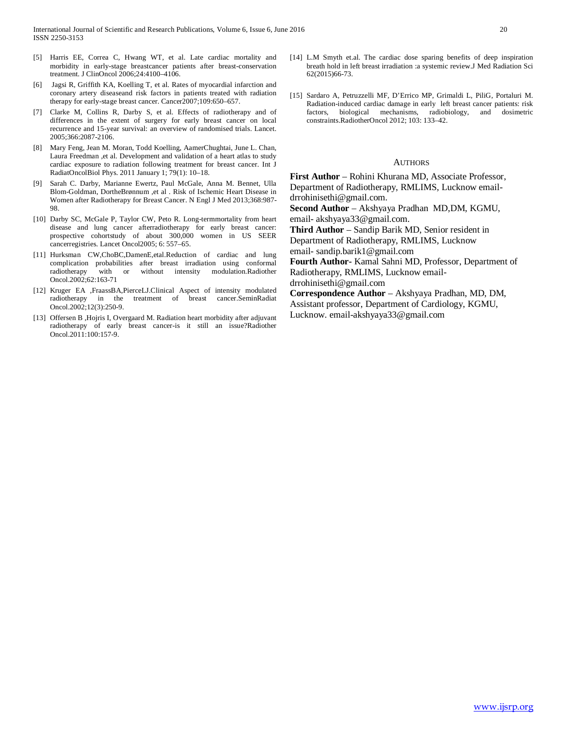- [5] Harris EE, Correa C, Hwang WT, et al. Late cardiac mortality and morbidity in early-stage breastcancer patients after breast-conservation treatment. J ClinOncol 2006;24:4100–4106.
- Jagsi R, Griffith KA, Koelling T, et al. Rates of myocardial infarction and coronary artery diseaseand risk factors in patients treated with radiation therapy for early-stage breast cancer. Cancer2007;109:650–657.
- [7] Clarke M, Collins R, Darby S, et al. Effects of radiotherapy and of differences in the extent of surgery for early breast cancer on local recurrence and 15-year survival: an overview of randomised trials. Lancet. 2005;366:2087-2106.
- [8] Mary Feng, Jean M. Moran, Todd Koelling, AamerChughtai, June L. Chan, Laura Freedman ,et al. Development and validation of a heart atlas to study cardiac exposure to radiation following treatment for breast cancer. Int J RadiatOncolBiol Phys. 2011 January 1; 79(1): 10–18.
- [9] Sarah C. Darby, Marianne Ewertz, Paul McGale, Anna M. Bennet, Ulla Blom-Goldman, DortheBrønnum ,et al . Risk of Ischemic Heart Disease in Women after Radiotherapy for Breast Cancer. N Engl J Med 2013;368:987- 98.
- [10] Darby SC, McGale P, Taylor CW, Peto R. Long-termmortality from heart disease and lung cancer afterradiotherapy for early breast cancer: prospective cohortstudy of about 300,000 women in US SEER cancerregistries. Lancet Oncol2005; 6: 557–65.
- [11] Hurksman CW,ChoBC,DamenE,etal.Reduction of cardiac and lung complication probabilities after breast irradiation using conformal radiotherapy with or without intensity modulation.Radiother Oncol.2002;62:163-71
- [12] Kruger EA ,FraassBA,PierceLJ.Clinical Aspect of intensity modulated radiotherapy in the treatment of breast cancer.SeminRadiat Oncol.2002;12(3):250-9.
- [13] Offersen B, Hojris I, Overgaard M. Radiation heart morbidity after adjuvant radiotherapy of early breast cancer-is it still an issue?Radiother Oncol.2011:100:157-9.
- [14] L.M Smyth et.al. The cardiac dose sparing benefits of deep inspiration breath hold in left breast irradiation :a systemic review.J Med Radiation Sci 62(2015)66-73.
- [15] Sardaro A, Petruzzelli MF, D'Errico MP, Grimaldi L, PiliG, Portaluri M. Radiation-induced cardiac damage in early left breast cancer patients: risk factors, biological mechanisms, radiobiology, and dosimetric constraints.RadiotherOncol 2012; 103: 133–42.

#### **AUTHORS**

**First Author** – Rohini Khurana MD, Associate Professor, Department of Radiotherapy, RMLIMS, Lucknow emaildrrohinisethi@gmail.com.

**Second Author** – Akshyaya Pradhan MD,DM, KGMU, email- akshyaya33@gmail.com.

**Third Author** – Sandip Barik MD, Senior resident in Department of Radiotherapy, RMLIMS, Lucknow

email- sandip.barik1@gmail.com

**Fourth Author-** Kamal Sahni MD, Professor, Department of Radiotherapy, RMLIMS, Lucknow email-

drrohinisethi@gmail.com

**Correspondence Author** – Akshyaya Pradhan, MD, DM, Assistant professor, Department of Cardiology, KGMU, Lucknow. email-akshyaya33@gmail.com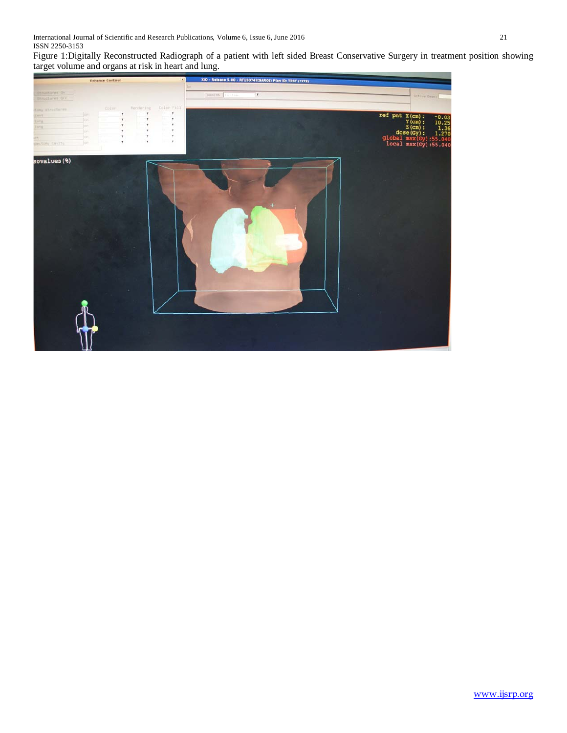International Journal of Scientific and Research Publications, Volume 6, Issue 6, June 2016 21 ISSN 2250-3153

Figure 1:Digitally Reconstructed Radiograph of a patient with left sided Breast Conservative Surgery in treatment position showing target volume and organs at risk in heart and lung.

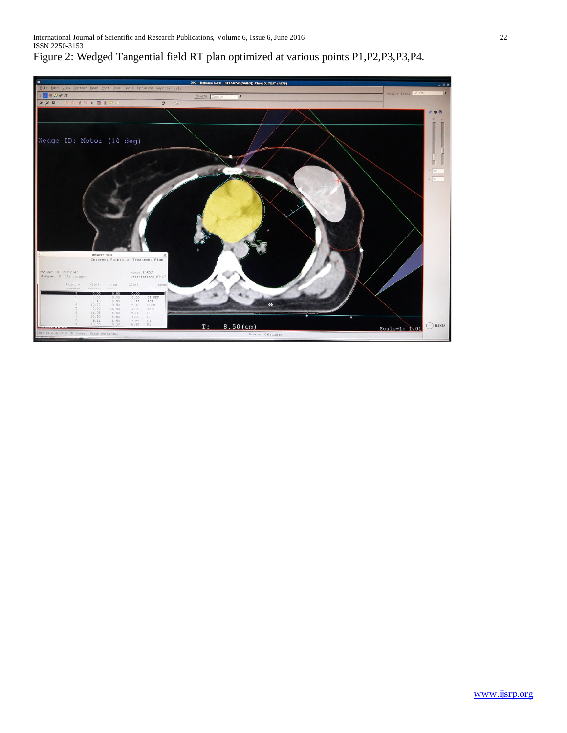# Figure 2: Wedged Tangential field RT plan optimized at various points P1,P2,P3,P3,P4.

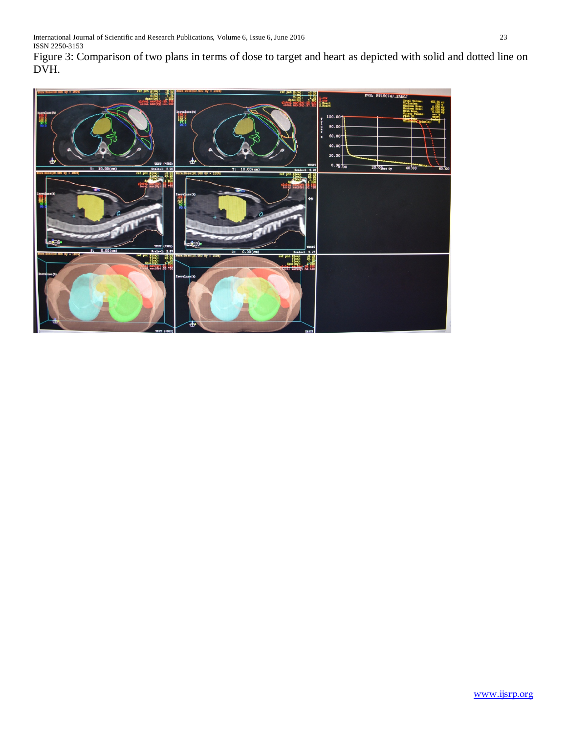Figure 3: Comparison of two plans in terms of dose to target and heart as depicted with solid and dotted line on DVH.

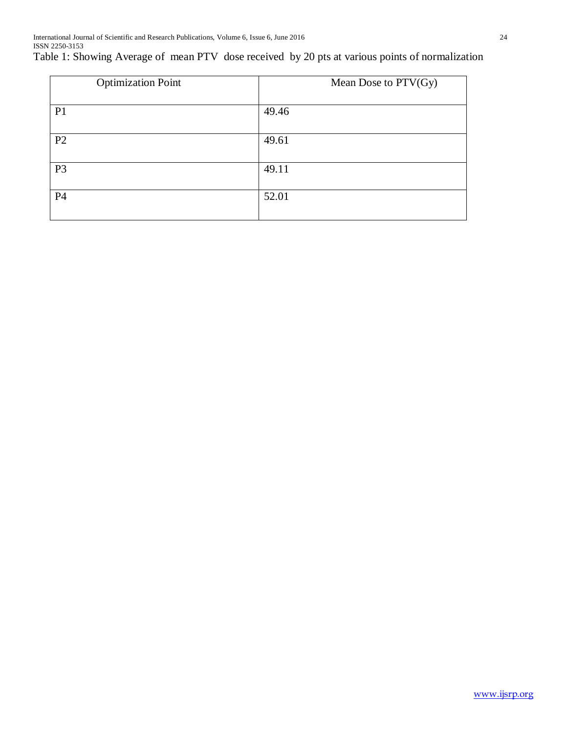Table 1: Showing Average of mean PTV dose received by 20 pts at various points of normalization

| <b>Optimization Point</b> | Mean Dose to PTV(Gy) |
|---------------------------|----------------------|
| P <sub>1</sub>            | 49.46                |
| P <sub>2</sub>            | 49.61                |
| P <sub>3</sub>            | 49.11                |
| <b>P4</b>                 | 52.01                |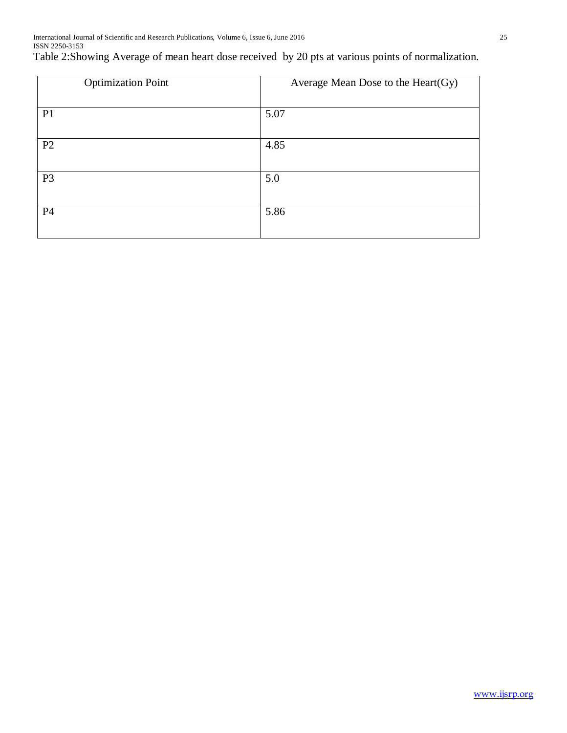# Table 2:Showing Average of mean heart dose received by 20 pts at various points of normalization.

| <b>Optimization Point</b> | Average Mean Dose to the Heart(Gy) |  |
|---------------------------|------------------------------------|--|
|                           |                                    |  |
| P <sub>1</sub>            | 5.07                               |  |
|                           |                                    |  |
| P2                        | 4.85                               |  |
|                           |                                    |  |
| P <sub>3</sub>            | 5.0                                |  |
|                           |                                    |  |
| P4                        | 5.86                               |  |
|                           |                                    |  |
|                           |                                    |  |